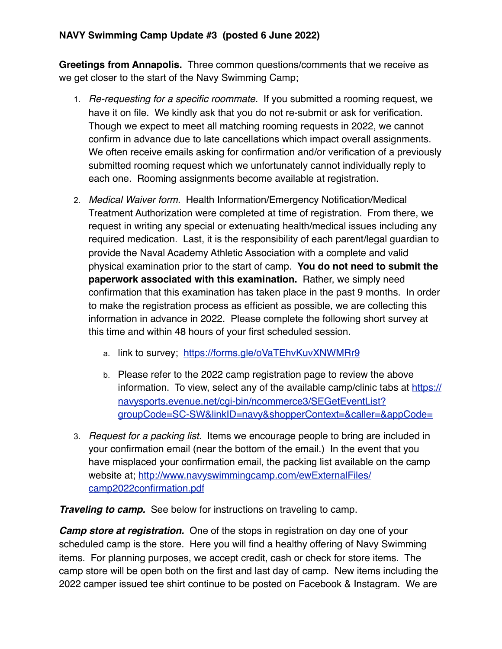## **NAVY Swimming Camp Update #3 (posted 6 June 2022)**

**Greetings from Annapolis.** Three common questions/comments that we receive as we get closer to the start of the Navy Swimming Camp;

- 1. *Re-requesting for a specific roommate.* If you submitted a rooming request, we have it on file. We kindly ask that you do not re-submit or ask for verification. Though we expect to meet all matching rooming requests in 2022, we cannot confirm in advance due to late cancellations which impact overall assignments. We often receive emails asking for confirmation and/or verification of a previously submitted rooming request which we unfortunately cannot individually reply to each one. Rooming assignments become available at registration.
- 2. *Medical Waiver form.* Health Information/Emergency Notification/Medical Treatment Authorization were completed at time of registration. From there, we request in writing any special or extenuating health/medical issues including any required medication. Last, it is the responsibility of each parent/legal guardian to provide the Naval Academy Athletic Association with a complete and valid physical examination prior to the start of camp. **You do not need to submit the paperwork associated with this examination.** Rather, we simply need confirmation that this examination has taken place in the past 9 months. In order to make the registration process as efficient as possible, we are collecting this information in advance in 2022. Please complete the following short survey at this time and within 48 hours of your first scheduled session.
	- a. link to survey; <https://forms.gle/oVaTEhvKuvXNWMRr9>
	- b. Please refer to the 2022 camp registration page to review the above information. To view, select any of the available camp/clinic tabs at [https://](https://navysports.evenue.net/cgi-bin/ncommerce3/SEGetEventList?groupCode=SC-SW&linkID=navy&shopperContext=&caller=&appCode=) [navysports.evenue.net/cgi-bin/ncommerce3/SEGetEventList?](https://navysports.evenue.net/cgi-bin/ncommerce3/SEGetEventList?groupCode=SC-SW&linkID=navy&shopperContext=&caller=&appCode=) [groupCode=SC-SW&linkID=navy&shopperContext=&caller=&appCode=](https://navysports.evenue.net/cgi-bin/ncommerce3/SEGetEventList?groupCode=SC-SW&linkID=navy&shopperContext=&caller=&appCode=)
- 3. *Request for a packing list.* Items we encourage people to bring are included in your confirmation email (near the bottom of the email.) In the event that you have misplaced your confirmation email, the packing list available on the camp website at; [http://www.navyswimmingcamp.com/ewExternalFiles/](http://www.navyswimmingcamp.com/ewExternalFiles/camp2022confirmation.pdf) [camp2022confirmation.pdf](http://www.navyswimmingcamp.com/ewExternalFiles/camp2022confirmation.pdf)

*Traveling to camp.* See below for instructions on traveling to camp.

*Camp store at registration.* One of the stops in registration on day one of your scheduled camp is the store. Here you will find a healthy offering of Navy Swimming items. For planning purposes, we accept credit, cash or check for store items. The camp store will be open both on the first and last day of camp. New items including the 2022 camper issued tee shirt continue to be posted on Facebook & Instagram. We are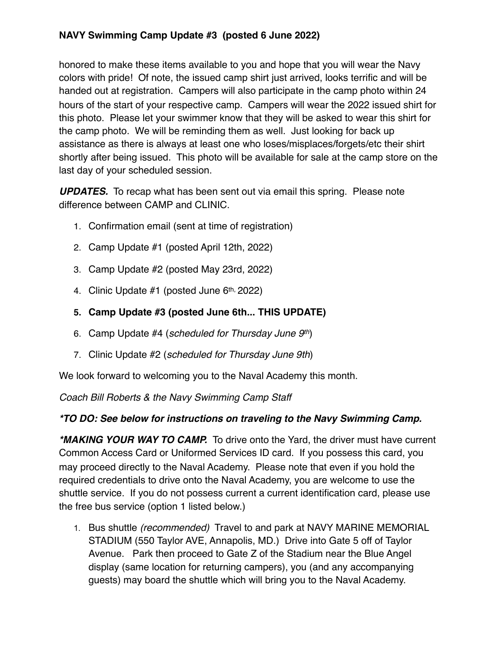# **NAVY Swimming Camp Update #3 (posted 6 June 2022)**

honored to make these items available to you and hope that you will wear the Navy colors with pride! Of note, the issued camp shirt just arrived, looks terrific and will be handed out at registration. Campers will also participate in the camp photo within 24 hours of the start of your respective camp. Campers will wear the 2022 issued shirt for this photo. Please let your swimmer know that they will be asked to wear this shirt for the camp photo. We will be reminding them as well. Just looking for back up assistance as there is always at least one who loses/misplaces/forgets/etc their shirt shortly after being issued. This photo will be available for sale at the camp store on the last day of your scheduled session.

*UPDATES.* To recap what has been sent out via email this spring. Please note difference between CAMP and CLINIC.

- 1. Confirmation email (sent at time of registration)
- 2. Camp Update #1 (posted April 12th, 2022)
- 3. Camp Update #2 (posted May 23rd, 2022)
- 4. Clinic Update  $#1$  (posted June  $6<sup>th</sup>$ , 2022)

## **5. Camp Update #3 (posted June 6th... THIS UPDATE)**

- 6. Camp Update #4 (*scheduled for Thursday June 9th*)
- 7. Clinic Update #2 (*scheduled for Thursday June 9th*)

We look forward to welcoming you to the Naval Academy this month.

*Coach Bill Roberts & the Navy Swimming Camp Staff*

#### *\*TO DO: See below for instructions on traveling to the Navy Swimming Camp.*

*\*MAKING YOUR WAY TO CAMP.*To drive onto the Yard, the driver must have current Common Access Card or Uniformed Services ID card. If you possess this card, you may proceed directly to the Naval Academy. Please note that even if you hold the required credentials to drive onto the Naval Academy, you are welcome to use the shuttle service. If you do not possess current a current identification card, please use the free bus service (option 1 listed below.)

1. Bus shuttle *(recommended)* Travel to and park at NAVY MARINE MEMORIAL STADIUM (550 Taylor AVE, Annapolis, MD.) Drive into Gate 5 off of Taylor Avenue. Park then proceed to Gate Z of the Stadium near the Blue Angel display (same location for returning campers), you (and any accompanying guests) may board the shuttle which will bring you to the Naval Academy.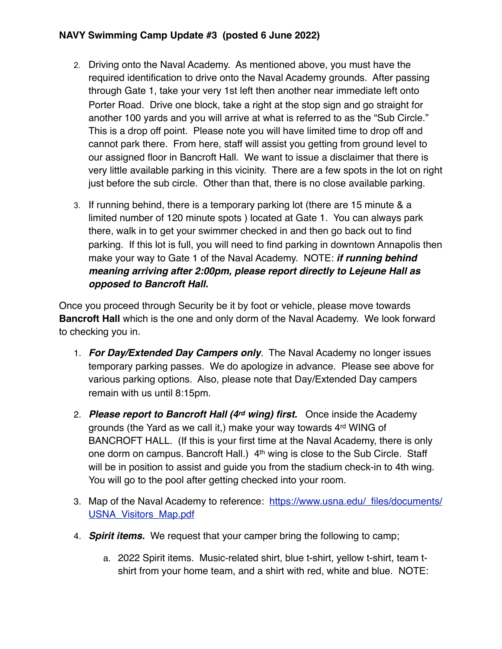## **NAVY Swimming Camp Update #3 (posted 6 June 2022)**

- 2. Driving onto the Naval Academy. As mentioned above, you must have the required identification to drive onto the Naval Academy grounds. After passing through Gate 1, take your very 1st left then another near immediate left onto Porter Road. Drive one block, take a right at the stop sign and go straight for another 100 yards and you will arrive at what is referred to as the "Sub Circle." This is a drop off point. Please note you will have limited time to drop off and cannot park there. From here, staff will assist you getting from ground level to our assigned floor in Bancroft Hall. We want to issue a disclaimer that there is very little available parking in this vicinity. There are a few spots in the lot on right just before the sub circle. Other than that, there is no close available parking.
- 3. If running behind, there is a temporary parking lot (there are 15 minute & a limited number of 120 minute spots ) located at Gate 1. You can always park there, walk in to get your swimmer checked in and then go back out to find parking. If this lot is full, you will need to find parking in downtown Annapolis then make your way to Gate 1 of the Naval Academy. NOTE: *if running behind meaning arriving after 2:00pm, please report directly to Lejeune Hall as opposed to Bancroft Hall.*

Once you proceed through Security be it by foot or vehicle, please move towards **Bancroft Hall** which is the one and only dorm of the Naval Academy. We look forward to checking you in.

- 1. *For Day/Extended Day Campers only.* The Naval Academy no longer issues temporary parking passes. We do apologize in advance. Please see above for various parking options. Also, please note that Day/Extended Day campers remain with us until 8:15pm.
- 2. *Please report to Bancroft Hall (4rd wing) first.* Once inside the Academy grounds (the Yard as we call it,) make your way towards 4rd WING of BANCROFT HALL. (If this is your first time at the Naval Academy, there is only one dorm on campus. Bancroft Hall.) 4<sup>th</sup> wing is close to the Sub Circle. Staff will be in position to assist and guide you from the stadium check-in to 4th wing. You will go to the pool after getting checked into your room.
- 3. Map of the Naval Academy to reference: [https://www.usna.edu/\\_files/documents/](https://www.usna.edu/_files/documents/USNA_Visitors_Map.pdf) [USNA\\_Visitors\\_Map.pdf](https://www.usna.edu/_files/documents/USNA_Visitors_Map.pdf)
- 4. *Spirit items.* We request that your camper bring the following to camp;
	- a. 2022 Spirit items. Music-related shirt, blue t-shirt, yellow t-shirt, team tshirt from your home team, and a shirt with red, white and blue. NOTE: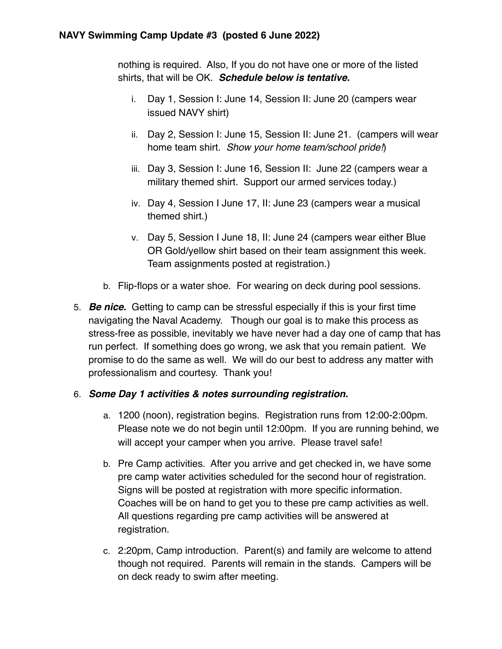nothing is required. Also, If you do not have one or more of the listed shirts, that will be OK. *Schedule below is tentative.*

- i. Day 1, Session I: June 14, Session II: June 20 (campers wear issued NAVY shirt)
- ii. Day 2, Session I: June 15, Session II: June 21. (campers will wear home team shirt. *Show your home team/school pride!*)
- iii. Day 3, Session I: June 16, Session II: June 22 (campers wear a military themed shirt. Support our armed services today.)
- iv. Day 4, Session I June 17, II: June 23 (campers wear a musical themed shirt.)
- v. Day 5, Session I June 18, II: June 24 (campers wear either Blue OR Gold/yellow shirt based on their team assignment this week. Team assignments posted at registration.)
- b. Flip-flops or a water shoe. For wearing on deck during pool sessions.
- 5. *Be nice.* Getting to camp can be stressful especially if this is your first time navigating the Naval Academy. Though our goal is to make this process as stress-free as possible, inevitably we have never had a day one of camp that has run perfect. If something does go wrong, we ask that you remain patient. We promise to do the same as well. We will do our best to address any matter with professionalism and courtesy. Thank you!

#### 6. *Some Day 1 activities & notes surrounding registration.*

- a. 1200 (noon), registration begins. Registration runs from 12:00-2:00pm. Please note we do not begin until 12:00pm. If you are running behind, we will accept your camper when you arrive. Please travel safe!
- b. Pre Camp activities. After you arrive and get checked in, we have some pre camp water activities scheduled for the second hour of registration. Signs will be posted at registration with more specific information. Coaches will be on hand to get you to these pre camp activities as well. All questions regarding pre camp activities will be answered at registration.
- c. 2:20pm, Camp introduction. Parent(s) and family are welcome to attend though not required. Parents will remain in the stands. Campers will be on deck ready to swim after meeting.